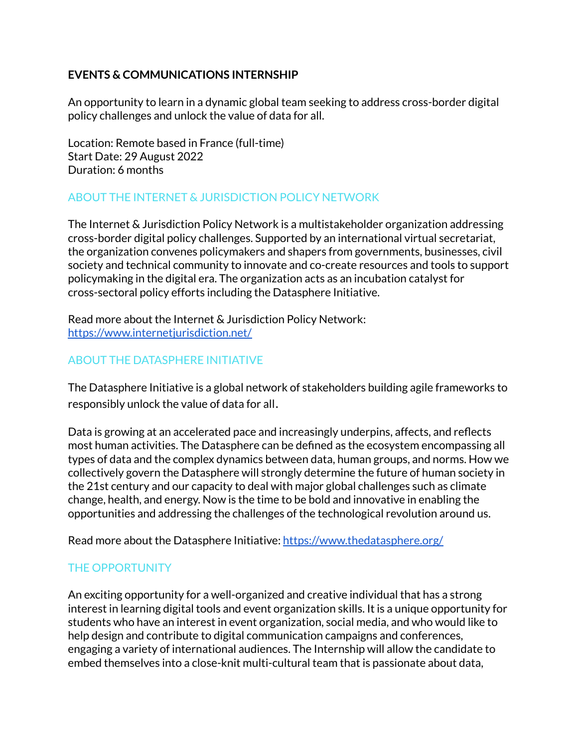### **EVENTS & COMMUNICATIONS INTERNSHIP**

An opportunity to learn in a dynamic global team seeking to address cross-border digital policy challenges and unlock the value of data for all.

Location: Remote based in France (full-time) Start Date: 29 August 2022 Duration: 6 months

# ABOUT THE INTERNET & JURISDICTION POLICY NETWORK

The Internet & Jurisdiction Policy Network is a multistakeholder organization addressing cross-border digital policy challenges. Supported by an international virtual secretariat, the organization convenes policymakers and shapers from governments, businesses, civil society and technical community to innovate and co-create resources and tools to support policymaking in the digital era. The organization acts as an incubation catalyst for cross-sectoral policy efforts including the Datasphere Initiative.

Read more about the Internet & Jurisdiction Policy Network: <https://www.internetjurisdiction.net/>

# ABOUT THE DATASPHERE INITIATIVE

The Datasphere Initiative is a global network of stakeholders building agile frameworks to responsibly unlock the value of data for all.

Data is growing at an accelerated pace and increasingly underpins, affects, and reflects most human activities. The Datasphere can be defined as the ecosystem encompassing all types of data and the complex dynamics between data, human groups, and norms. How we collectively govern the Datasphere will strongly determine the future of human society in the 21st century and our capacity to deal with major global challenges such as climate change, health, and energy. Now is the time to be bold and innovative in enabling the opportunities and addressing the challenges of the technological revolution around us.

Read more about the Datasphere Initiative: <https://www.thedatasphere.org/>

# THE OPPORTUNITY

An exciting opportunity for a well-organized and creative individual that has a strong interest in learning digital tools and event organization skills. It is a unique opportunity for students who have an interest in event organization, social media, and who would like to help design and contribute to digital communication campaigns and conferences, engaging a variety of international audiences. The Internship will allow the candidate to embed themselves into a close-knit multi-cultural team that is passionate about data,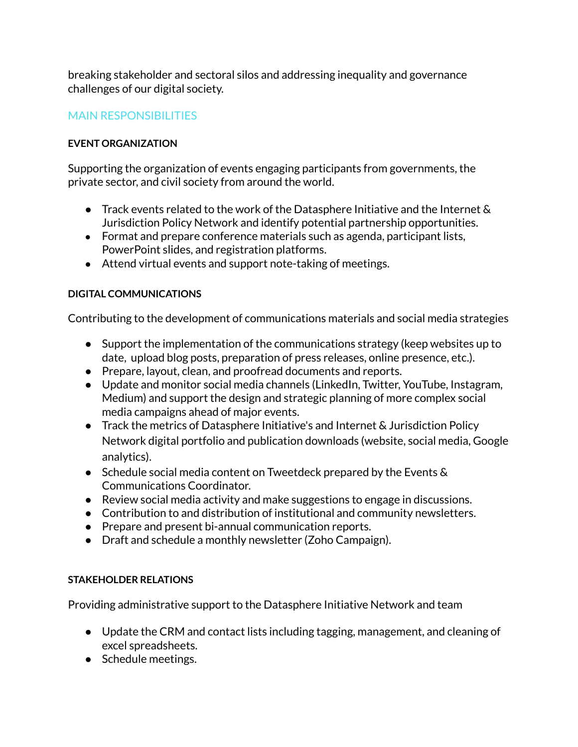breaking stakeholder and sectoral silos and addressing inequality and governance challenges of our digital society.

### MAIN RESPONSIBILITIES

#### **EVENT ORGANIZATION**

Supporting the organization of events engaging participants from governments, the private sector, and civil society from around the world.

- Track events related to the work of the Datasphere Initiative and the Internet  $\&$ Jurisdiction Policy Network and identify potential partnership opportunities.
- **●** Format and prepare conference materials such as agenda, participant lists, PowerPoint slides, and registration platforms.
- Attend virtual events and support note-taking of meetings.

#### **DIGITAL COMMUNICATIONS**

Contributing to the development of communications materials and social media strategies

- Support the implementation of the communications strategy (keep websites up to date, upload blog posts, preparation of press releases, online presence, etc.).
- Prepare, layout, clean, and proofread documents and reports.
- Update and monitor social media channels (LinkedIn, Twitter, YouTube, Instagram, Medium) and support the design and strategic planning of more complex social media campaigns ahead of major events.
- Track the metrics of Datasphere Initiative's and Internet & Jurisdiction Policy Network digital portfolio and publication downloads (website, social media, Google analytics).
- Schedule social media content on Tweetdeck prepared by the Events & Communications Coordinator.
- Review social media activity and make suggestions to engage in discussions.
- Contribution to and distribution of institutional and community newsletters.
- Prepare and present bi-annual communication reports.
- Draft and schedule a monthly newsletter (Zoho Campaign).

#### **STAKEHOLDER RELATIONS**

Providing administrative support to the Datasphere Initiative Network and team

- Update the CRM and contact lists including tagging, management, and cleaning of excel spreadsheets.
- Schedule meetings.